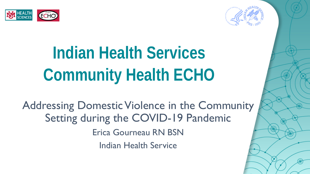



Addressing Domestic Violence in the Community Setting during the COVID-19 Pandemic Erica Gourneau RN BSN Indian Health Service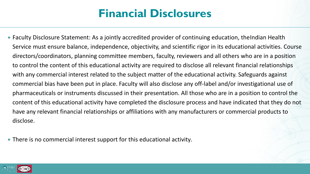## **Financial Disclosures**

• Faculty Disclosure Statement: As a jointly accredited provider of continuing education, the Indian Health Service must ensure balance, independence, objectivity, and scientific rigor in its educational activities. Course directors/coordinators, planning committee members, faculty, reviewers and all others who are in a position to control the content of this educational activity are required to disclose all relevant financial relationships with any commercial interest related to the subject matter of the educational activity. Safeguards against commercial bias have been put in place. Faculty will also disclose any off-label and/or investigational use of pharmaceuticals or instruments discussed in their presentation. All those who are in a position to control the content of this educational activity have completed the disclosure process and have indicated that they do not have any relevant financial relationships or affiliations with any manufacturers or commercial products to disclose.

There is no commercial interest support for this educational activity.

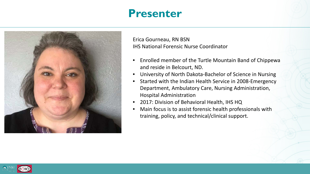### **Presenter**



Erica Gourneau, RN BSN IHS National Forensic Nurse Coordinator

- Enrolled member of the Turtle Mountain Band of Chippewa and reside in Belcourt, ND.
- University of North Dakota-Bachelor of Science in Nursing
- Started with the Indian Health Service in 2008-Emergency Department, Ambulatory Care, Nursing Administration, Hospital Administration
- 2017: Division of Behavioral Health, IHS HQ
- Main focus is to assist forensic health professionals with training, policy, and technical/clinical support.

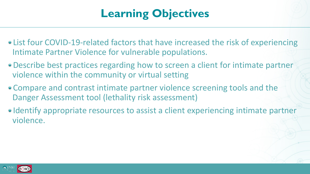## **Learning Objectives**

- List four COVID-19-related factors that have increased the risk of experiencing Intimate Partner Violence for vulnerable populations.
- Describe best practices regarding how to screen a client for intimate partner violence within the community or virtual setting
- Compare and contrast intimate partner violence screening tools and the Danger Assessment tool (lethality risk assessment)
- Identify appropriate resources to assist a client experiencing intimate partner violence.

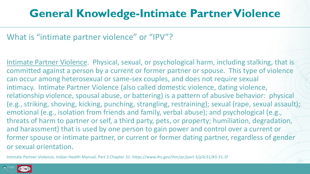## **General Knowledge-Intimate Partner Violence**

What is "intimate partner violence" or "IPV"?

Intimate Partner Violence. Physical, sexual, or psychological harm, including stalking, that is committed against a person by a current or former partner or spouse. This type of violence can occur among heterosexual or same-sex couples, and does not require sexual intimacy. Intimate Partner Violence (also called domestic violence, dating violence, relationship violence, spousal abuse, or battering) is a pattern of abusive behavior: physical (e.g., striking, shoving, kicking, punching, strangling, restraining); sexual (rape, sexual assault); emotional (e.g., isolation from friends and family, verbal abuse); and psychological (e.g., threats of harm to partner or self, a third party, pets, or property; humiliation, degradation, and harassment) that is used by one person to gain power and control over a current or former spouse or intimate partner, or current or former dating partner, regardless of gender or sexual orientation.

Intimate Partner Violence, Indian Health Manual, Part 3 Chapter 31: https://www.ihs.gov/ihm/pc/part-3/p3c31/#3-31.1F

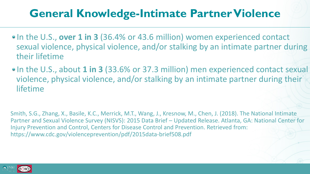## **General Knowledge-Intimate Partner Violence**

- In the U.S., over 1 in 3 (36.4% or 43.6 million) women experienced contact sexual violence, physical violence, and/or stalking by an intimate partner during their lifetime
- In the U.S., about **1 in 3** (33.6% or 37.3 million) men experienced contact sexual violence, physical violence, and/or stalking by an intimate partner during their lifetime

Smith, S.G., Zhang, X., Basile, K.C., Merrick, M.T., Wang, J., Kresnow, M., Chen, J. (2018). The National Intimate Partner and Sexual Violence Survey (NISVS): 2015 Data Brief – Updated Release. Atlanta, GA: National Center for Injury Prevention and Control, Centers for Disease Control and Prevention. Retrieved from: https://www.cdc.gov/violenceprevention/pdf/2015data-brief508.pdf

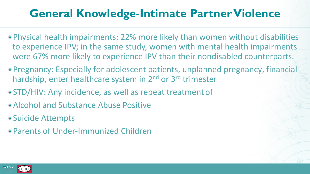## **General Knowledge-Intimate Partner Violence**

- Physical health impairments: 22% more likely than women without disabilities to experience IPV; in the same study, women with mental health impairments were 67% more likely to experience IPV than their nondisabled counterparts.
- Pregnancy: Especially for adolescent patients, unplanned pregnancy, financial hardship, enter healthcare system in 2<sup>nd</sup> or 3<sup>rd</sup> trimester
- STD/HIV: Any incidence, as well as repeat treatment of
- Alcohol and Substance Abuse Positive
- Suicide Attempts
- Parents of Under-Immunized Children

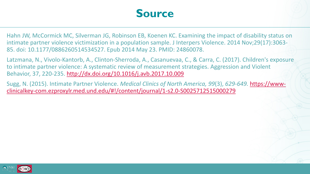### **Source**

Hahn JW, McCormick MC, Silverman JG, Robinson EB, Koenen KC. Examining the impact of disability status on intimate partner violence victimization in a population sample. J Interpers Violence. 2014 Nov;29(17):3063- 85. doi: 10.1177/0886260514534527. Epub 2014 May 23. PMID: 24860078.

Latzmana, N., Vivolo-Kantorb, A., Clinton-Sherroda, A., Casanuevaa, C., & Carra, C. (2017). Children's exposure to intimate partner violence: A systematic review of measurement strategies. Aggression and Violent Behavior, 37, 220-235.<http://dx.doi.org/10.1016/j.avb.2017.10.009>

Sugg, N. (2015). Intimate Partner Violence. *Medical Clinics of North America, 99*(3), *629-649.* https://www[clinicalkey-com.ezproxylr.med.und.edu/#!/content/journal/1-s2.0-S0025712515000279](https://www-clinicalkey-com.ezproxylr.med.und.edu/#!/content/journal/1-s2.0-S0025712515000279)

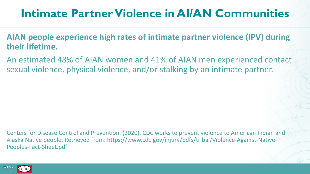## **Intimate Partner Violence in AI/AN Communities**

- **AIAN people experience high rates of intimate partner violence (IPV) during their lifetime.**
- An estimated 48% of AIAN women and 41% of AIAN men experienced contact sexual violence, physical violence, and/or stalking by an intimate partner.

Centers for Disease Control and Prevention. (2020). CDC works to prevent violence to American Indian and Alaska Native people. Retrieved from: https://www.cdc.gov/injury/pdfs/tribal/Violence-Against-Native-Peoples-Fact-Sheet.pdf

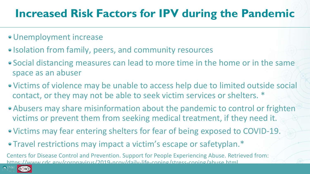## **Increased Risk Factors for IPV during the Pandemic**

- Unemployment increase
- Isolation from family, peers, and community resources
- Social distancing measures can lead to more time in the home or in the same space as an abuser
- Victims of violence may be unable to access help due to limited outside social contact, or they may not be able to seek victim services or shelters. \*
- Abusers may share misinformation about the pandemic to control or frighten victims or prevent them from seeking medical treatment, if they need it.
- Victims may fear entering shelters for fear of being exposed to COVID-19.
- Travel restrictions may impact a victim's escape or safety plan.\*

Centers for Disease Control and Prevention. Support for People Experiencing Abuse. Retrieved from: https://www.cdc.gov/coronavirus/2019-ncov/daily-life-coping/stress-coping/abuse.html

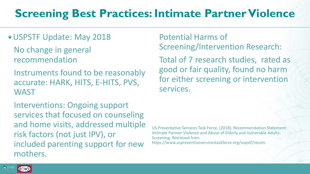- USPSTF Update: May 2018
	- No change in general recommendation
	- Instruments found to be reasonably accurate: HARK, HITS, E-HITS, PVS, **WAST**
	- Interventions: Ongoing support services that focused on counseling and home visits, addressed multiple risk factors (not just IPV), or included parenting support for new mothers.

Potential Harms of Screening/Intervention Research:

Total of 7 research studies, rated as good or fair quality, found no harm for either screening or intervention services.

US Preventative Services Task Force. (2018). Recommendation Statement: Intimate Partner Violence and Abuse of Elderly and Vulnerable Adults: Screening. Retrieved from https://www.uspreventiveservicestaskforce.org/uspstf/recom

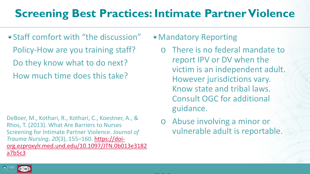Staff comfort with "the discussion" Policy-How are you training staff? Do they know what to do next? How much time does this take?

DeBoer, M., Kothari, R., Kothari, C., Koestner, A., & Rhos, T. (2013). What Are Barriers to Nurses Screening for Intimate Partner Violence. *Journal of Trauma Nursing*, *20*(3), 155–160. https://doi[org.ezproxylr.med.und.edu/10.1097/JTN.0b013e3182](https://doi-org.ezproxylr.med.und.edu/10.1097/JTN.0b013e3182a7b5c3) a7b5c3

- Mandatory Reporting
	- o There is no federal mandate to report IPV or DV when the victim is an independent adult. However jurisdictions vary. Know state and tribal laws. Consult OGC for additional guidance.
	- o Abuse involving a minor or vulnerable adult is reportable.

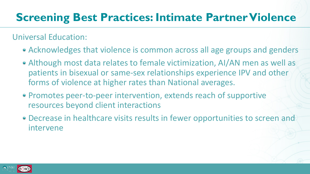### Universal Education:

- Acknowledges that violence is common across all age groups and genders
- Although most data relates to female victimization, AI/AN men as well as patients in bisexual or same-sex relationships experience IPV and other forms of violence at higher rates than National averages.
- Promotes peer-to-peer intervention, extends reach of supportive resources beyond client interactions
- Decrease in healthcare visits results in fewer opportunities to screen and intervene

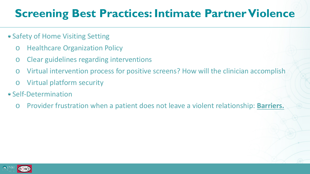- Safety of Home Visiting Setting
	- o Healthcare Organization Policy
	- o Clear guidelines regarding interventions
	- o Virtual intervention process for positive screens? How will the clinician accomplish
	- o Virtual platform security
- Self-Determination
	- o Provider frustration when a patient does not leave a violent relationship: **Barriers.**

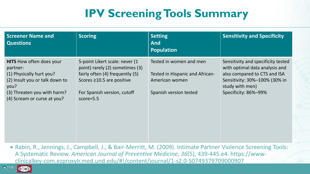| <b>Screener Name and</b><br><b>Questions</b>                                                                                                                                    | <b>Scoring</b>                                                                                                                                                                  | <b>Setting</b><br><b>And</b><br><b>Population</b>                                                      | <b>Sensitivity and Specificity</b>                                                                                                                                               |
|---------------------------------------------------------------------------------------------------------------------------------------------------------------------------------|---------------------------------------------------------------------------------------------------------------------------------------------------------------------------------|--------------------------------------------------------------------------------------------------------|----------------------------------------------------------------------------------------------------------------------------------------------------------------------------------|
| <b>HITS</b> How often does your<br>partner:<br>(1) Physically hurt you?<br>(2) Insult you or talk down to<br>you?<br>(3) Threaten you with harm?<br>(4) Scream or curse at you? | 5-point Likert scale: never (1<br>point) rarely (2) sometimes (3)<br>fairly often (4) frequently (5)<br>Scores ≥10.5 are positive<br>For Spanish version, cutoff<br>$score=5.5$ | Tested in women and men<br>Tested in Hispanic and African-<br>American women<br>Spanish version tested | Sensitivity and specificity tested<br>with optimal data analysis and<br>also compared to CTS and ISA<br>Sensitivity: 30%-100% (30% in<br>study with men)<br>Specificity: 86%-99% |

Rabin, R., Jennings, J., Campbell, J., & Bair-Merritt, M. (2009). Intimate Partner Violence Screening Tools: A Systematic Review. *American Journal of Preventive Medicine*, *36*(5), 439-445.e4. https://wwwclinicalkey-com.ezproxylr.med.und.edu/#!/content/journal/1-s2.0-S0749379709000907

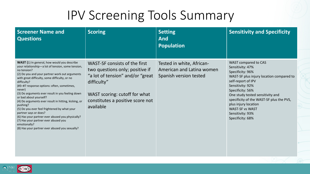| <b>Screener Name and</b><br><b>Questions</b>                                                                                                                                                                                                                                                                                                                                                                                                                                                                                                                                                                                                                                       | <b>Scoring</b>                                                                                                                                                                                         | <b>Setting</b><br><b>And</b><br><b>Population</b>                                | <b>Sensitivity and Specificity</b>                                                                                                                                                                                                                                                                                                               |
|------------------------------------------------------------------------------------------------------------------------------------------------------------------------------------------------------------------------------------------------------------------------------------------------------------------------------------------------------------------------------------------------------------------------------------------------------------------------------------------------------------------------------------------------------------------------------------------------------------------------------------------------------------------------------------|--------------------------------------------------------------------------------------------------------------------------------------------------------------------------------------------------------|----------------------------------------------------------------------------------|--------------------------------------------------------------------------------------------------------------------------------------------------------------------------------------------------------------------------------------------------------------------------------------------------------------------------------------------------|
| WAST (1) In general, how would you describe<br>your relationship-a lot of tension, some tension,<br>no tension?<br>(2) Do you and your partner work out arguments<br>with great difficulty, some difficulty, or no<br>difficulty?<br>(#3-#7 response options: often, sometimes,<br>never)<br>(3) Do arguments ever result in you feeling down<br>or bad about yourself?<br>(4) Do arguments ever result in hitting, kicking, or<br>pushing?<br>(5) Do you ever feel frightened by what your<br>partner says or does?<br>(6) Has your partner ever abused you physically?<br>(7) Has your partner ever abused you<br>emotionally?<br>(8) Has your partner ever abused you sexually? | WAST-SF consists of the first<br>two questions only; positive if<br>"a lot of tension" and/or "great"<br>difficulty"<br>WAST scoring: cutoff for what<br>constitutes a positive score not<br>available | Tested in white, African-<br>American and Latina women<br>Spanish version tested | WAST compared to CAS<br>Sensitivity: 47%<br>Specificity: 96%<br>WAST-SF plus injury location compared to<br>self-report of IPV<br>Sensitivity: 92%<br>Specificity: 56%<br>One study tested sensitivity and<br>specificity of the WAST-SF plus the PVS,<br>plus injury location<br><b>WAST-SF vs WAST</b><br>Sensitivity: 93%<br>Specificity: 68% |

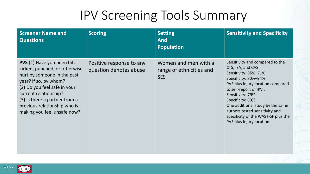| <b>Screener Name and</b><br><b>Questions</b>                                                                                                                                                                                                                                        | <b>Scoring</b>                                     | <b>Setting</b><br><b>And</b><br><b>Population</b>              | <b>Sensitivity and Specificity</b>                                                                                                                                                                                                                                                                                                                     |
|-------------------------------------------------------------------------------------------------------------------------------------------------------------------------------------------------------------------------------------------------------------------------------------|----------------------------------------------------|----------------------------------------------------------------|--------------------------------------------------------------------------------------------------------------------------------------------------------------------------------------------------------------------------------------------------------------------------------------------------------------------------------------------------------|
| <b>PVS</b> (1) Have you been hit,<br>kicked, punched, or otherwise<br>hurt by someone in the past<br>year? If so, by whom?<br>(2) Do you feel safe in your<br>current relationship?<br>(3) Is there a partner from a<br>previous relationship who is<br>making you feel unsafe now? | Positive response to any<br>question denotes abuse | Women and men with a<br>range of ethnicities and<br><b>SES</b> | Sensitivity and compared to the<br>CTS, ISA, and CAS:<br>Sensitivity: 35%-71%<br>Specificity: 80%-94%<br>PVS plus injury location compared<br>to self-report of IPV :<br>Sensitivity: 79%<br>Specificity: 80%<br>One additional study by the same<br>authors tested sensitivity and<br>specificity of the WAST-SF plus the<br>PVS plus injury location |

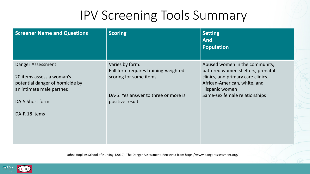| <b>Screener Name and Questions</b>                                                                                                | <b>Scoring</b>                                                                                                                               | <b>Setting</b><br><b>And</b><br><b>Population</b>                                                                                                                                            |
|-----------------------------------------------------------------------------------------------------------------------------------|----------------------------------------------------------------------------------------------------------------------------------------------|----------------------------------------------------------------------------------------------------------------------------------------------------------------------------------------------|
| Danger Assessment<br>20 items assess a woman's<br>potential danger of homicide by<br>an intimate male partner.<br>DA-5 Short form | Varies by form:<br>Full form requires training-weighted<br>scoring for some items<br>DA-5: Yes answer to three or more is<br>positive result | Abused women in the community,<br>battered women shelters, prenatal<br>clinics, and primary care clinics.<br>African-American, white, and<br>Hispanic women<br>Same-sex female relationships |
| DA-R 18 items                                                                                                                     |                                                                                                                                              |                                                                                                                                                                                              |

Johns Hopkins School of Nursing. (2019). The Danger Assessment. Retrieved from https://www.dangerassessment.org/

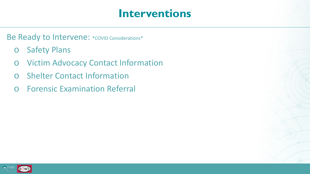### **Interventions**

Be Ready to Intervene: \* covid Considerations\*

- o Safety Plans
- o Victim Advocacy Contact Information
- o Shelter Contact Information
- o Forensic Examination Referral

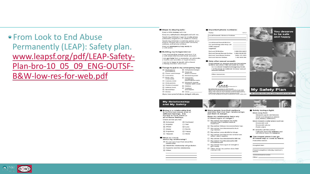From Look to End Abuse Permanently (LEAP): Safety plan. www.leapsf.org/pdf/LEAP-Safety-[Plan-bro-10\\_05\\_09\\_ENG-OUTSF-](http://www.leapsf.org/pdf/LEAP-Safety-Plan-bro-10_05_09_ENG-OUTSF-B&W-low-res-for-web.pdf)B&W-low-res-for-web.pdf

### Steps to staying safe: Keep a little money with me.

Keep my call phone charged and with me Teach my children to go to a safe place

(a friend's, neighbor's, or relative's home) Teach my children to call the police when there is danger and to give their full name, address, and phone number

Keep an emergency bag ready in a safe place.

### **Building my independence:**

I can start saying money and store it in a safe place (like my own bank account) I can get help from a counselor, an advocate,

a health care provider, or legal services. I can try to keep in touch with a friend or family member who I trust

### Things to put in my emergency bag:

| Cell phone/charger                               |
|--------------------------------------------------|
| $\Box$ Photo ID <sub>i</sub><br>driver's licence |
| $\square$ Restraining order                      |
| <b>D</b> Passports/<br>immigration               |
| papers/green cards                               |
| Electronic Benefit<br>Transfer (EBT) card        |
| $\Box$ Clothes                                   |
| <b>D</b> Toletries                               |
| and diapers                                      |
| $\Box$ Other                                     |
| f you have proof of abuse, bring it with you.    |
|                                                  |

### **My Relationship** and My Safety

Being in a relationship that is hurtful can cause a lot of different feelings. It is normal to have some or all of these feelings. Check all that you feel □ Ashamed  $\square$  Confused  $\Box$  Hopeful  $\Box$  Sad  $\Box$  Afraid  $\square$  Love  $\Box$  Angry **CL Numb**  $\Box$  Hopeless  $\Box$  Henoy

 $\Box$  Trapped  $\Box$  Alone

### What do I think about my relationship?

 $\Box$  I'm not sure how I feel about this elationship

- □ I think this relationship will get better.
- $\square$  I want to end this relationship.
- $\square$  Other:

### Important phone numbers:

Police  $9.1.1$ Local Domestic Violence Hotlines

**Local Sexual Assault Hotline** For restraining order help call **LGBT** support Legal Aid

**National DV Hotline** 1,000,799, SAFF National Second Account Hotling 1,800,656,80PE National Teen Abuse Hotline 1.866.331.9474 National Suicide Hotline 1.800-SUICIDE

Help after sexual assault:

If my partner or anyone else has forced me to have sex when I did not want to, I can: Go to a local hospital emergency room. Call the local or national 24-hour sexual assault hotline

Other resources:



Many people love their partners

Does my relationship have any

My partner has injured me badly

enough that I needed medical

 $\square$  My partner has threatened to hurt

My partner uses alcohol or drugs.

My partner has forced me to have sex when I didn't want to

 $\square$  My partner has threatened to kill me.

 $\Box$  My partner has threatened to kill

 $\Box$  My partner has a gun or can get a

Other things my partner does that

□ My partner follows me everywhere I go.

of these signs of danger?

put them in danger.

my children

himself/herself

concern me

and also feel that their relationships

ew.cr.ener.com<br>eleped by LEAP DS/2009.<br>ted without permission as long as you credit<br>Abuse Permanently), c/o Maxime Hall Health org<br>St., San Prancisco, CA 94115 www.leapsf.org My Safety Plan developed by USAP 09/2009.<br>May be used unabaned without permission as long as y<br>USAP (Look to End Abuse Permanenty), Loo Maxime Ha<br>Center, 1301 Pierce St., San Prancisco, CA 94115 www. LEAP thanks San Francisco Kaiser Permanente and<br>La Casa de las Madres for their contributions to this safety plan



You deserve

to be safe

and happy.



Do not take this with you unless it is safe to do so.



Safety during a fight: Move away from:

Weapons (guns and knives) Small and dangerous places (car, kitchen, bathroom)

- Move toward a safer place such as: Room with exit Room with phone Public place
- If I need to call the police:
- I will give them my address and<br>tell them if there is a weapon.
- The closest place I can go if I need help or need to leave: Police/fire station:

Hospital/clinic

Friend's/neighbor's/family member's house:

**Incorporate Advance Informacine continue** 



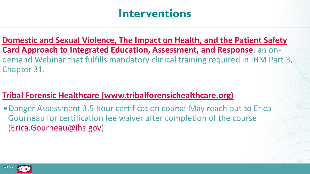## **Interventions**

**[Domestic and Sexual Violence, The Impact on Health, and the Patient Safety](https://ihs.adobeconnect.com/e2b07jin8lv/event/event_info.html) Card Approach to Integrated Education, Assessment, and Response**: an ondemand Webinar that fulfills mandatory clinical training required in IHM Part 3, Chapter 31.

### **[Tribal Forensic Healthcare \(www.tribalforensichealthcare.org\)](https://www.tribalforensichealthcare.org/events/EventDetails.aspx?id=1154454)**

Danger Assessment 3.5 hour certification course-May reach out to Erica Gourneau for certification fee waiver after completion of the course ([Erica.Gourneau@ihs.gov\)](mailto:Erica.Gourneau@ihs.gov)